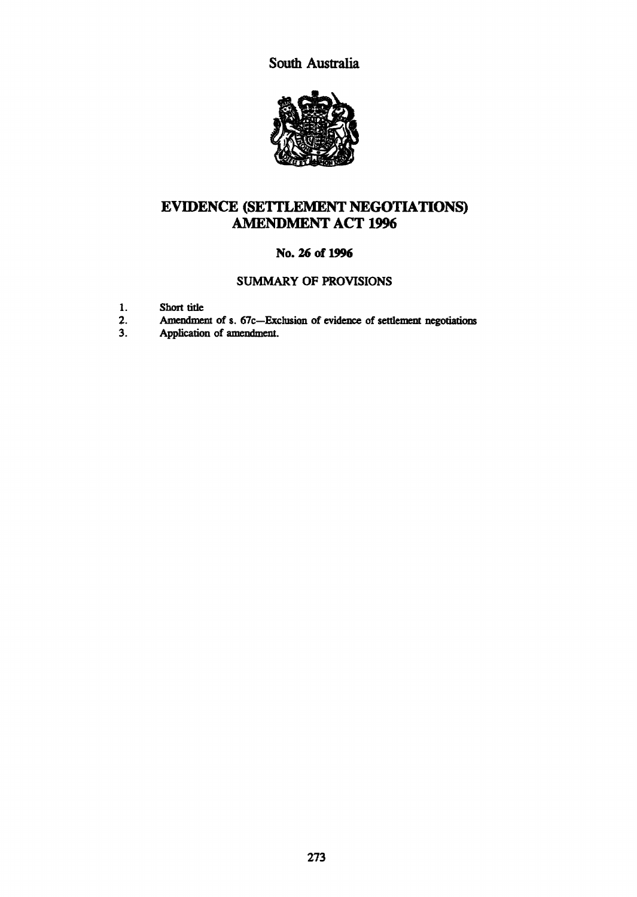South Australia



## EVIDENCE (SETTLEMENT NEGOTIATIONS) AMENDMENT ACT 1996

## No. 26 of 1996

### SUMMARY OF PROVISIONS

- 1. Short title<br>2. Amendmen
- 2. Amendment of s. 67c-Exclusion of evidence of settlement negotiations<br>3. Application of amendment.
- Application of amendment.